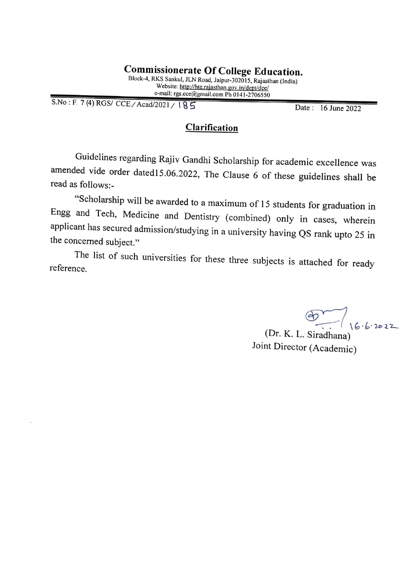S.No: F. 7 (4) RGS/ CCE; Acad/2021 / l **5'** Date : 16 June 2022

## **Clarification**

Guidelines regarding Rajiv Gandhi Scholarship for academic excellence was amended vide order dated15.06.2022, The Clause 6 of these guidelines shall be read as follows:-

"Scholarship will be awarded to a maximum of 15 students for graduation in Engg and Tech, Medicine and Dentistry ( combined) only in cases, wherein applicant has secured admission/studying in a university having QS rank upto 25 in the concerned subject."

The list of such universities for these three subjects is attached for ready reference.

 $\frac{201}{16.6}$  2022

(Dr. K. L. Siradhana) Joint Director (Academic)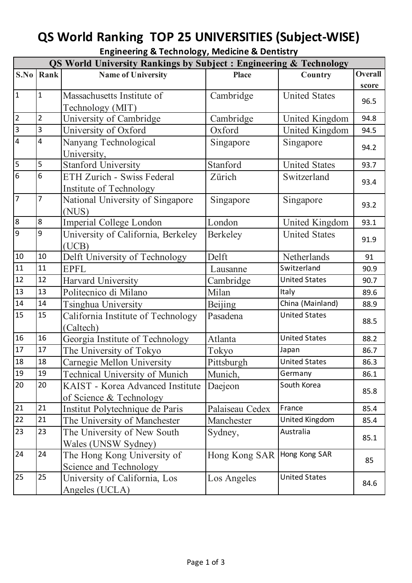## **QS World Ranking TOP 25 UNIVERSITIES (Subject-WISE)**

| <b>Engineering &amp; Technology, Medicine &amp; Dentistry</b> |
|---------------------------------------------------------------|
|---------------------------------------------------------------|

| <b>QS World University Rankings by Subject: Engineering &amp; Technology</b> |                |                                       |                 |                      |                |  |
|------------------------------------------------------------------------------|----------------|---------------------------------------|-----------------|----------------------|----------------|--|
| S.No                                                                         | Rank           | <b>Name of University</b>             | <b>Place</b>    | Country              | <b>Overall</b> |  |
|                                                                              |                |                                       |                 |                      | score          |  |
| $\vert$ 1                                                                    | $\mathbf{1}$   | Massachusetts Institute of            | Cambridge       | <b>United States</b> | 96.5           |  |
|                                                                              |                | Technology (MIT)                      |                 |                      |                |  |
| $\sqrt{2}$                                                                   | $\overline{2}$ | University of Cambridge               | Cambridge       | United Kingdom       | 94.8           |  |
| $\overline{3}$                                                               | 3              | University of Oxford                  | Oxford          | United Kingdom       | 94.5           |  |
| $\overline{4}$                                                               | 4              | Nanyang Technological                 | Singapore       | Singapore            | 94.2           |  |
|                                                                              |                | University,                           |                 |                      |                |  |
| $\overline{5}$                                                               | 5              | <b>Stanford University</b>            | Stanford        | <b>United States</b> | 93.7           |  |
| $\overline{6}$                                                               | 6              | ETH Zurich - Swiss Federal            | Zürich          | Switzerland          | 93.4           |  |
|                                                                              |                | Institute of Technology               |                 |                      |                |  |
| $\overline{7}$                                                               | $\overline{7}$ | National University of Singapore      | Singapore       | Singapore            | 93.2           |  |
|                                                                              |                | (NUS)                                 |                 |                      |                |  |
| $\overline{8}$                                                               | 8              | Imperial College London               | London          | United Kingdom       | 93.1           |  |
| 9                                                                            | 9              | University of California, Berkeley    | <b>Berkeley</b> | <b>United States</b> | 91.9           |  |
|                                                                              |                | (UCB)                                 |                 |                      |                |  |
| 10                                                                           | 10             | Delft University of Technology        | Delft           | Netherlands          | 91             |  |
| 11                                                                           | 11             | <b>EPFL</b>                           | Lausanne        | Switzerland          | 90.9           |  |
| 12                                                                           | 12             | Harvard University                    | Cambridge       | <b>United States</b> | 90.7           |  |
| 13                                                                           | 13             | Politecnico di Milano                 | Milan           | <b>Italy</b>         | 89.6           |  |
| 14                                                                           | 14             | Tsinghua University                   | <b>Beijing</b>  | China (Mainland)     | 88.9           |  |
| 15                                                                           | 15             | California Institute of Technology    | Pasadena        | <b>United States</b> | 88.5           |  |
|                                                                              |                | (Caltech)                             |                 |                      |                |  |
| 16                                                                           | 16             | Georgia Institute of Technology       | Atlanta         | <b>United States</b> | 88.2           |  |
| 17                                                                           | 17             | The University of Tokyo               | Tokyo           | Japan                | 86.7           |  |
| 18                                                                           | 18             | Carnegie Mellon University            | Pittsburgh      | <b>United States</b> | 86.3           |  |
| 19                                                                           | 19             | <b>Technical University of Munich</b> | Munich,         | Germany              | 86.1           |  |
| 20                                                                           | 20             | KAIST - Korea Advanced Institute      | Daejeon         | South Korea          | 85.8           |  |
|                                                                              |                | of Science & Technology               |                 |                      |                |  |
| 21                                                                           | 21             | Institut Polytechnique de Paris       | Palaiseau Cedex | France               | 85.4           |  |
| 22                                                                           | 21             | The University of Manchester          | Manchester      | United Kingdom       | 85.4           |  |
| 23                                                                           | 23             | The University of New South           | Sydney,         | Australia            |                |  |
|                                                                              |                | Wales (UNSW Sydney)                   |                 |                      | 85.1           |  |
| 24                                                                           | 24             | The Hong Kong University of           | Hong Kong SAR   | Hong Kong SAR        |                |  |
|                                                                              |                | Science and Technology                |                 |                      | 85             |  |
| 25                                                                           | 25             | University of California, Los         | Los Angeles     | <b>United States</b> | 84.6           |  |
|                                                                              |                | Angeles (UCLA)                        |                 |                      |                |  |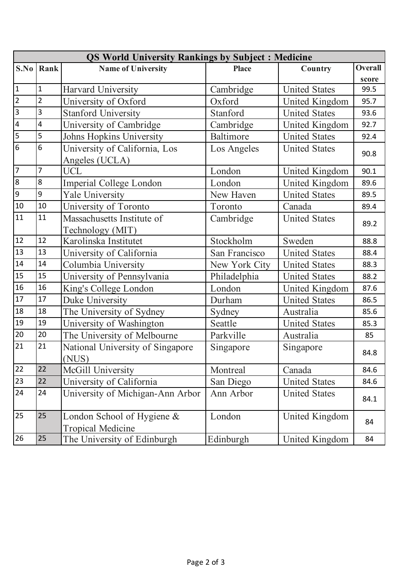| <b>QS World University Rankings by Subject: Medicine</b> |                         |                                  |               |                      |                |  |
|----------------------------------------------------------|-------------------------|----------------------------------|---------------|----------------------|----------------|--|
| S.No                                                     | Rank                    | <b>Name of University</b>        | <b>Place</b>  | Country              | <b>Overall</b> |  |
|                                                          |                         |                                  |               |                      | score          |  |
| $\mathbf{1}$                                             | $\mathbf 1$             | Harvard University               | Cambridge     | <b>United States</b> | 99.5           |  |
| $\overline{2}$                                           | $\overline{2}$          | University of Oxford             | Oxford        | United Kingdom       | 95.7           |  |
| $\overline{3}$                                           | $\overline{3}$          | <b>Stanford University</b>       | Stanford      | <b>United States</b> | 93.6           |  |
| 4                                                        | $\overline{\mathbf{4}}$ | University of Cambridge          | Cambridge     | United Kingdom       | 92.7           |  |
| 5                                                        | 5                       | Johns Hopkins University         | Baltimore     | <b>United States</b> | 92.4           |  |
| $\overline{6}$                                           | 6                       | University of California, Los    | Los Angeles   | <b>United States</b> | 90.8           |  |
|                                                          |                         | Angeles (UCLA)                   |               |                      |                |  |
| $\overline{7}$                                           | $\overline{7}$          | <b>UCL</b>                       | London        | United Kingdom       | 90.1           |  |
| 8                                                        | 8                       | Imperial College London          | London        | United Kingdom       | 89.6           |  |
| 9                                                        | 9                       | <b>Yale University</b>           | New Haven     | <b>United States</b> | 89.5           |  |
| 10                                                       | 10                      | University of Toronto            | Toronto       | Canada               | 89.4           |  |
| 11                                                       | 11                      | Massachusetts Institute of       | Cambridge     | <b>United States</b> | 89.2           |  |
|                                                          |                         | Technology (MIT)                 |               |                      |                |  |
| 12                                                       | 12                      | Karolinska Institutet            | Stockholm     | Sweden               | 88.8           |  |
| 13                                                       | 13                      | University of California         | San Francisco | <b>United States</b> | 88.4           |  |
| 14                                                       | 14                      | Columbia University              | New York City | <b>United States</b> | 88.3           |  |
| 15                                                       | 15                      | University of Pennsylvania       | Philadelphia  | <b>United States</b> | 88.2           |  |
| 16                                                       | 16                      | King's College London            | London        | United Kingdom       | 87.6           |  |
| 17                                                       | 17                      | Duke University                  | Durham        | <b>United States</b> | 86.5           |  |
| 18                                                       | 18                      | The University of Sydney         | Sydney        | Australia            | 85.6           |  |
| 19                                                       | 19                      | University of Washington         | Seattle       | <b>United States</b> | 85.3           |  |
| 20                                                       | 20                      | The University of Melbourne      | Parkville     | Australia            | 85             |  |
| 21                                                       | 21                      | National University of Singapore | Singapore     | Singapore            | 84.8           |  |
|                                                          |                         | (NUS)                            |               |                      |                |  |
| 22                                                       | 22                      | McGill University                | Montreal      | Canada               | 84.6           |  |
| 23                                                       | 22                      | University of California         | San Diego     | <b>United States</b> | 84.6           |  |
| 24                                                       | 24                      | University of Michigan-Ann Arbor | Ann Arbor     | <b>United States</b> | 84.1           |  |
| 25                                                       | 25                      | London School of Hygiene &       | London        | United Kingdom       | 84             |  |
|                                                          |                         | <b>Tropical Medicine</b>         |               |                      |                |  |
| 26                                                       | 25                      | The University of Edinburgh      | Edinburgh     | United Kingdom       | 84             |  |